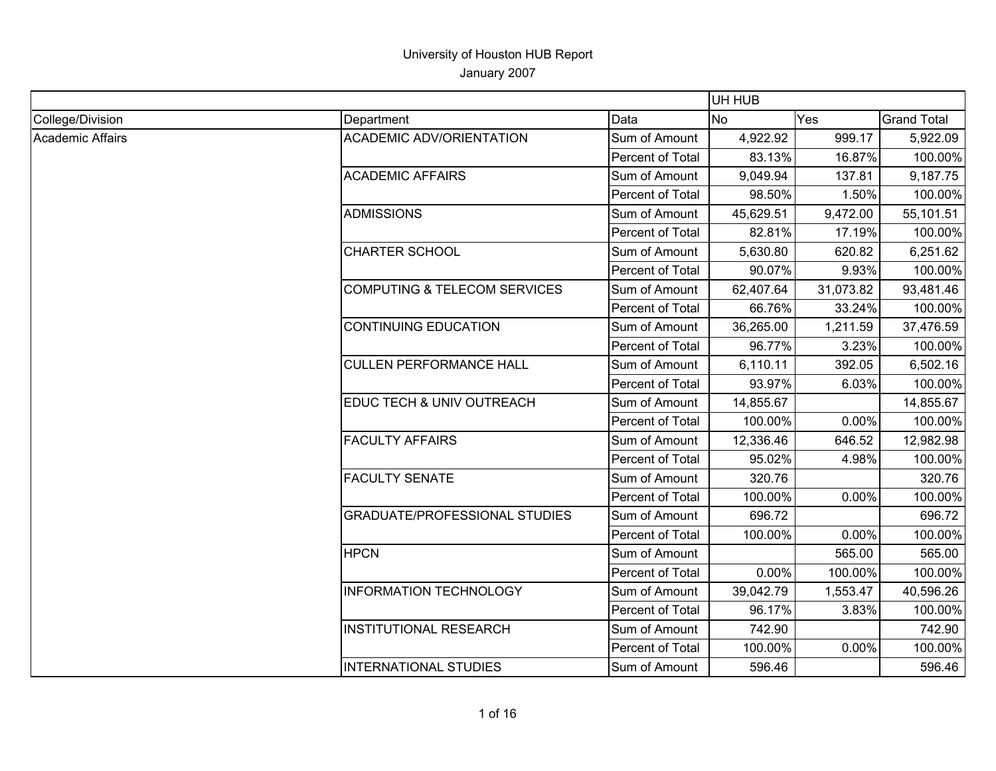|                         |                                         |                  | UH HUB    |           |                    |
|-------------------------|-----------------------------------------|------------------|-----------|-----------|--------------------|
| College/Division        | Department                              | Data             | <b>No</b> | Yes       | <b>Grand Total</b> |
| <b>Academic Affairs</b> | <b>ACADEMIC ADV/ORIENTATION</b>         | Sum of Amount    | 4,922.92  | 999.17    | 5,922.09           |
|                         |                                         | Percent of Total | 83.13%    | 16.87%    | 100.00%            |
|                         | <b>ACADEMIC AFFAIRS</b>                 | Sum of Amount    | 9,049.94  | 137.81    | 9,187.75           |
|                         |                                         | Percent of Total | 98.50%    | 1.50%     | 100.00%            |
|                         | <b>ADMISSIONS</b>                       | Sum of Amount    | 45,629.51 | 9,472.00  | 55,101.51          |
|                         |                                         | Percent of Total | 82.81%    | 17.19%    | 100.00%            |
|                         | <b>CHARTER SCHOOL</b>                   | Sum of Amount    | 5,630.80  | 620.82    | 6,251.62           |
|                         |                                         | Percent of Total | 90.07%    | 9.93%     | 100.00%            |
|                         | <b>COMPUTING &amp; TELECOM SERVICES</b> | Sum of Amount    | 62,407.64 | 31,073.82 | 93,481.46          |
|                         |                                         | Percent of Total | 66.76%    | 33.24%    | 100.00%            |
|                         | <b>CONTINUING EDUCATION</b>             | Sum of Amount    | 36,265.00 | 1,211.59  | 37,476.59          |
|                         |                                         | Percent of Total | 96.77%    | 3.23%     | 100.00%            |
|                         | <b>CULLEN PERFORMANCE HALL</b>          | Sum of Amount    | 6,110.11  | 392.05    | 6,502.16           |
|                         |                                         | Percent of Total | 93.97%    | 6.03%     | 100.00%            |
|                         | EDUC TECH & UNIV OUTREACH               | Sum of Amount    | 14,855.67 |           | 14,855.67          |
|                         |                                         | Percent of Total | 100.00%   | 0.00%     | 100.00%            |
|                         | <b>FACULTY AFFAIRS</b>                  | Sum of Amount    | 12,336.46 | 646.52    | 12,982.98          |
|                         |                                         | Percent of Total | 95.02%    | 4.98%     | 100.00%            |
|                         | <b>FACULTY SENATE</b>                   | Sum of Amount    | 320.76    |           | 320.76             |
|                         |                                         | Percent of Total | 100.00%   | 0.00%     | 100.00%            |
|                         | <b>GRADUATE/PROFESSIONAL STUDIES</b>    | Sum of Amount    | 696.72    |           | 696.72             |
|                         |                                         | Percent of Total | 100.00%   | 0.00%     | 100.00%            |
|                         | <b>HPCN</b>                             | Sum of Amount    |           | 565.00    | 565.00             |
|                         |                                         | Percent of Total | 0.00%     | 100.00%   | 100.00%            |
|                         | <b>INFORMATION TECHNOLOGY</b>           | Sum of Amount    | 39,042.79 | 1,553.47  | 40,596.26          |
|                         |                                         | Percent of Total | 96.17%    | 3.83%     | 100.00%            |
|                         | <b>INSTITUTIONAL RESEARCH</b>           | Sum of Amount    | 742.90    |           | 742.90             |
|                         |                                         | Percent of Total | 100.00%   | 0.00%     | 100.00%            |
|                         | <b>INTERNATIONAL STUDIES</b>            | Sum of Amount    | 596.46    |           | 596.46             |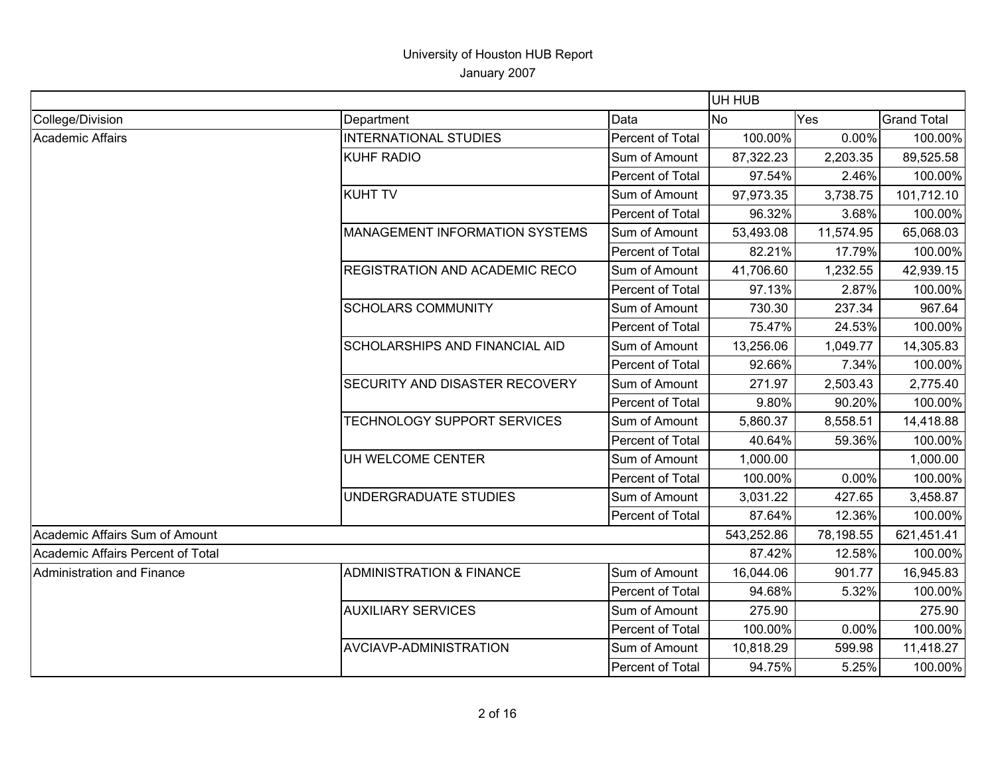|                                   |                                       |                  | UH HUB     |           |                    |
|-----------------------------------|---------------------------------------|------------------|------------|-----------|--------------------|
| College/Division                  | Department                            | Data             | <b>No</b>  | Yes       | <b>Grand Total</b> |
| Academic Affairs                  | <b>INTERNATIONAL STUDIES</b>          | Percent of Total | 100.00%    | 0.00%     | 100.00%            |
|                                   | <b>KUHF RADIO</b>                     | Sum of Amount    | 87,322.23  | 2,203.35  | 89,525.58          |
|                                   |                                       | Percent of Total | 97.54%     | 2.46%     | 100.00%            |
|                                   | <b>KUHT TV</b>                        | Sum of Amount    | 97,973.35  | 3,738.75  | 101,712.10         |
|                                   |                                       | Percent of Total | 96.32%     | 3.68%     | 100.00%            |
|                                   | <b>MANAGEMENT INFORMATION SYSTEMS</b> | Sum of Amount    | 53,493.08  | 11,574.95 | 65,068.03          |
|                                   |                                       | Percent of Total | 82.21%     | 17.79%    | 100.00%            |
|                                   | <b>REGISTRATION AND ACADEMIC RECO</b> | Sum of Amount    | 41,706.60  | 1,232.55  | 42,939.15          |
|                                   |                                       | Percent of Total | 97.13%     | 2.87%     | 100.00%            |
|                                   | <b>SCHOLARS COMMUNITY</b>             | Sum of Amount    | 730.30     | 237.34    | 967.64             |
|                                   |                                       | Percent of Total | 75.47%     | 24.53%    | 100.00%            |
|                                   | <b>SCHOLARSHIPS AND FINANCIAL AID</b> | Sum of Amount    | 13,256.06  | 1,049.77  | 14,305.83          |
|                                   |                                       | Percent of Total | 92.66%     | 7.34%     | 100.00%            |
|                                   | SECURITY AND DISASTER RECOVERY        | Sum of Amount    | 271.97     | 2,503.43  | 2,775.40           |
|                                   |                                       | Percent of Total | 9.80%      | 90.20%    | 100.00%            |
|                                   | TECHNOLOGY SUPPORT SERVICES           | Sum of Amount    | 5,860.37   | 8,558.51  | 14,418.88          |
|                                   |                                       | Percent of Total | 40.64%     | 59.36%    | 100.00%            |
|                                   | UH WELCOME CENTER                     | Sum of Amount    | 1,000.00   |           | 1,000.00           |
|                                   |                                       | Percent of Total | 100.00%    | 0.00%     | 100.00%            |
|                                   | UNDERGRADUATE STUDIES                 | Sum of Amount    | 3,031.22   | 427.65    | 3,458.87           |
|                                   |                                       | Percent of Total | 87.64%     | 12.36%    | 100.00%            |
| Academic Affairs Sum of Amount    |                                       |                  | 543,252.86 | 78,198.55 | 621,451.41         |
| Academic Affairs Percent of Total |                                       |                  | 87.42%     | 12.58%    | 100.00%            |
| Administration and Finance        | <b>ADMINISTRATION &amp; FINANCE</b>   | Sum of Amount    | 16,044.06  | 901.77    | 16,945.83          |
|                                   |                                       | Percent of Total | 94.68%     | 5.32%     | 100.00%            |
|                                   | <b>AUXILIARY SERVICES</b>             | Sum of Amount    | 275.90     |           | 275.90             |
|                                   |                                       | Percent of Total | 100.00%    | 0.00%     | 100.00%            |
|                                   | AVCIAVP-ADMINISTRATION                | Sum of Amount    | 10,818.29  | 599.98    | 11,418.27          |
|                                   |                                       | Percent of Total | 94.75%     | 5.25%     | 100.00%            |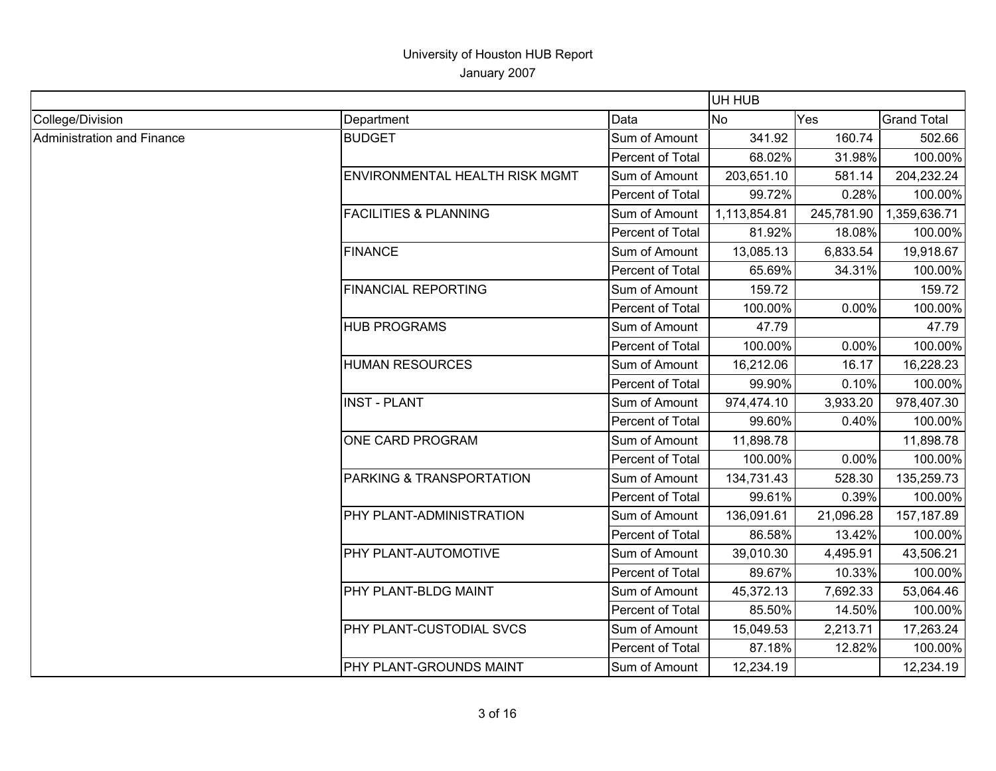|                            |                                  |                  | UH HUB       |            |                    |
|----------------------------|----------------------------------|------------------|--------------|------------|--------------------|
| College/Division           | Department                       | Data             | <b>No</b>    | Yes        | <b>Grand Total</b> |
| Administration and Finance | <b>BUDGET</b>                    | Sum of Amount    | 341.92       | 160.74     | 502.66             |
|                            |                                  | Percent of Total | 68.02%       | 31.98%     | 100.00%            |
|                            | ENVIRONMENTAL HEALTH RISK MGMT   | Sum of Amount    | 203,651.10   | 581.14     | 204,232.24         |
|                            |                                  | Percent of Total | 99.72%       | 0.28%      | 100.00%            |
|                            | <b>FACILITIES &amp; PLANNING</b> | Sum of Amount    | 1,113,854.81 | 245,781.90 | 1,359,636.71       |
|                            |                                  | Percent of Total | 81.92%       | 18.08%     | 100.00%            |
|                            | <b>FINANCE</b>                   | Sum of Amount    | 13,085.13    | 6,833.54   | 19,918.67          |
|                            |                                  | Percent of Total | 65.69%       | 34.31%     | 100.00%            |
|                            | <b>FINANCIAL REPORTING</b>       | Sum of Amount    | 159.72       |            | 159.72             |
|                            |                                  | Percent of Total | 100.00%      | 0.00%      | 100.00%            |
|                            | <b>HUB PROGRAMS</b>              | Sum of Amount    | 47.79        |            | 47.79              |
|                            |                                  | Percent of Total | 100.00%      | 0.00%      | 100.00%            |
|                            | <b>HUMAN RESOURCES</b>           | Sum of Amount    | 16,212.06    | 16.17      | 16,228.23          |
|                            |                                  | Percent of Total | 99.90%       | 0.10%      | 100.00%            |
|                            | <b>INST - PLANT</b>              | Sum of Amount    | 974,474.10   | 3,933.20   | 978,407.30         |
|                            |                                  | Percent of Total | 99.60%       | 0.40%      | 100.00%            |
|                            | ONE CARD PROGRAM                 | Sum of Amount    | 11,898.78    |            | 11,898.78          |
|                            |                                  | Percent of Total | 100.00%      | 0.00%      | 100.00%            |
|                            | PARKING & TRANSPORTATION         | Sum of Amount    | 134,731.43   | 528.30     | 135,259.73         |
|                            |                                  | Percent of Total | 99.61%       | 0.39%      | 100.00%            |
|                            | PHY PLANT-ADMINISTRATION         | Sum of Amount    | 136,091.61   | 21,096.28  | 157,187.89         |
|                            |                                  | Percent of Total | 86.58%       | 13.42%     | 100.00%            |
|                            | PHY PLANT-AUTOMOTIVE             | Sum of Amount    | 39,010.30    | 4,495.91   | 43,506.21          |
|                            |                                  | Percent of Total | 89.67%       | 10.33%     | 100.00%            |
|                            | PHY PLANT-BLDG MAINT             | Sum of Amount    | 45,372.13    | 7,692.33   | 53,064.46          |
|                            |                                  | Percent of Total | 85.50%       | 14.50%     | 100.00%            |
|                            | PHY PLANT-CUSTODIAL SVCS         | Sum of Amount    | 15,049.53    | 2,213.71   | 17,263.24          |
|                            |                                  | Percent of Total | 87.18%       | 12.82%     | 100.00%            |
|                            | PHY PLANT-GROUNDS MAINT          | Sum of Amount    | 12,234.19    |            | 12,234.19          |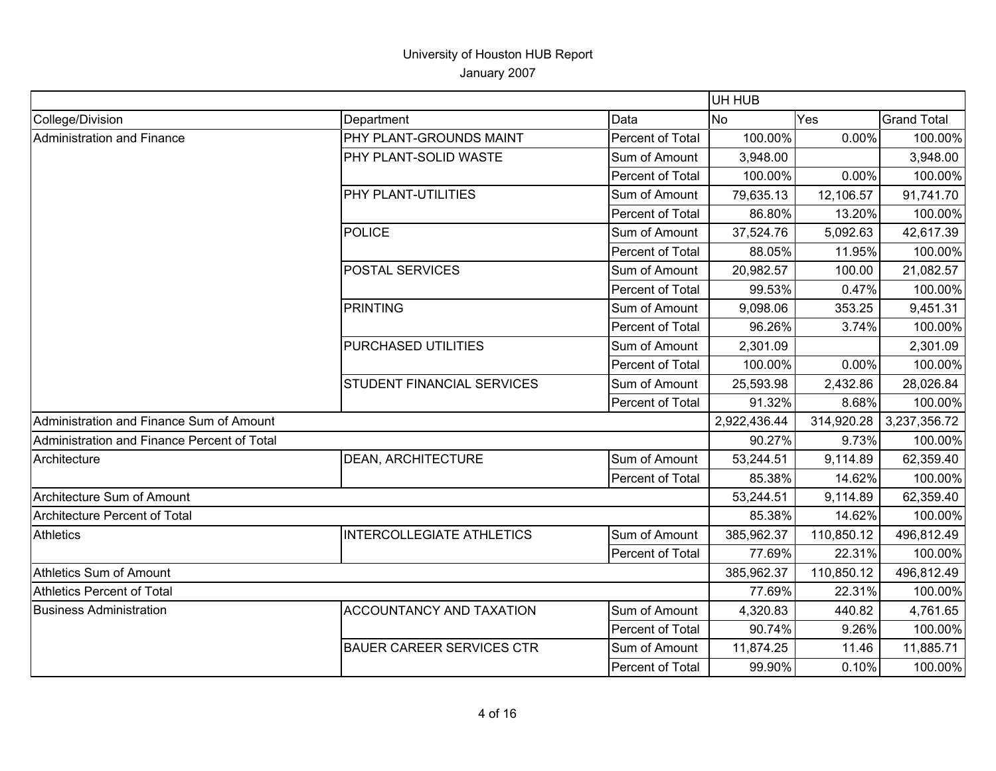|                                             |                                   |                  | UH HUB       |            |                    |
|---------------------------------------------|-----------------------------------|------------------|--------------|------------|--------------------|
| College/Division                            | Department                        | Data             | <b>No</b>    | Yes        | <b>Grand Total</b> |
| Administration and Finance                  | PHY PLANT-GROUNDS MAINT           | Percent of Total | 100.00%      | 0.00%      | 100.00%            |
|                                             | PHY PLANT-SOLID WASTE             | Sum of Amount    | 3,948.00     |            | 3,948.00           |
|                                             |                                   | Percent of Total | 100.00%      | 0.00%      | 100.00%            |
|                                             | PHY PLANT-UTILITIES               | Sum of Amount    | 79,635.13    | 12,106.57  | 91,741.70          |
|                                             |                                   | Percent of Total | 86.80%       | 13.20%     | 100.00%            |
|                                             | <b>POLICE</b>                     | Sum of Amount    | 37,524.76    | 5,092.63   | 42,617.39          |
|                                             |                                   | Percent of Total | 88.05%       | 11.95%     | 100.00%            |
|                                             | <b>POSTAL SERVICES</b>            | Sum of Amount    | 20,982.57    | 100.00     | 21,082.57          |
|                                             |                                   | Percent of Total | 99.53%       | 0.47%      | 100.00%            |
|                                             | <b>PRINTING</b>                   | Sum of Amount    | 9,098.06     | 353.25     | 9,451.31           |
|                                             |                                   | Percent of Total | 96.26%       | 3.74%      | 100.00%            |
|                                             | PURCHASED UTILITIES               | Sum of Amount    | 2,301.09     |            | 2,301.09           |
|                                             |                                   | Percent of Total | 100.00%      | 0.00%      | 100.00%            |
|                                             | <b>STUDENT FINANCIAL SERVICES</b> | Sum of Amount    | 25,593.98    | 2,432.86   | 28,026.84          |
|                                             |                                   | Percent of Total | 91.32%       | 8.68%      | 100.00%            |
| Administration and Finance Sum of Amount    |                                   |                  | 2,922,436.44 | 314,920.28 | 3,237,356.72       |
| Administration and Finance Percent of Total |                                   |                  | 90.27%       | 9.73%      | 100.00%            |
| Architecture                                | <b>DEAN, ARCHITECTURE</b>         | Sum of Amount    | 53,244.51    | 9,114.89   | 62,359.40          |
|                                             |                                   | Percent of Total | 85.38%       | 14.62%     | 100.00%            |
| Architecture Sum of Amount                  |                                   |                  | 53,244.51    | 9,114.89   | 62,359.40          |
| <b>Architecture Percent of Total</b>        |                                   |                  | 85.38%       | 14.62%     | 100.00%            |
| <b>Athletics</b>                            | <b>INTERCOLLEGIATE ATHLETICS</b>  | Sum of Amount    | 385,962.37   | 110,850.12 | 496,812.49         |
|                                             |                                   | Percent of Total | 77.69%       | 22.31%     | 100.00%            |
| Athletics Sum of Amount                     |                                   | 385,962.37       | 110,850.12   | 496,812.49 |                    |
| Athletics Percent of Total                  |                                   | 77.69%           | 22.31%       | 100.00%    |                    |
| <b>Business Administration</b>              | <b>ACCOUNTANCY AND TAXATION</b>   | Sum of Amount    | 4,320.83     | 440.82     | 4,761.65           |
|                                             |                                   | Percent of Total | 90.74%       | 9.26%      | 100.00%            |
|                                             | <b>BAUER CAREER SERVICES CTR</b>  | Sum of Amount    | 11,874.25    | 11.46      | 11,885.71          |
|                                             |                                   | Percent of Total | 99.90%       | 0.10%      | 100.00%            |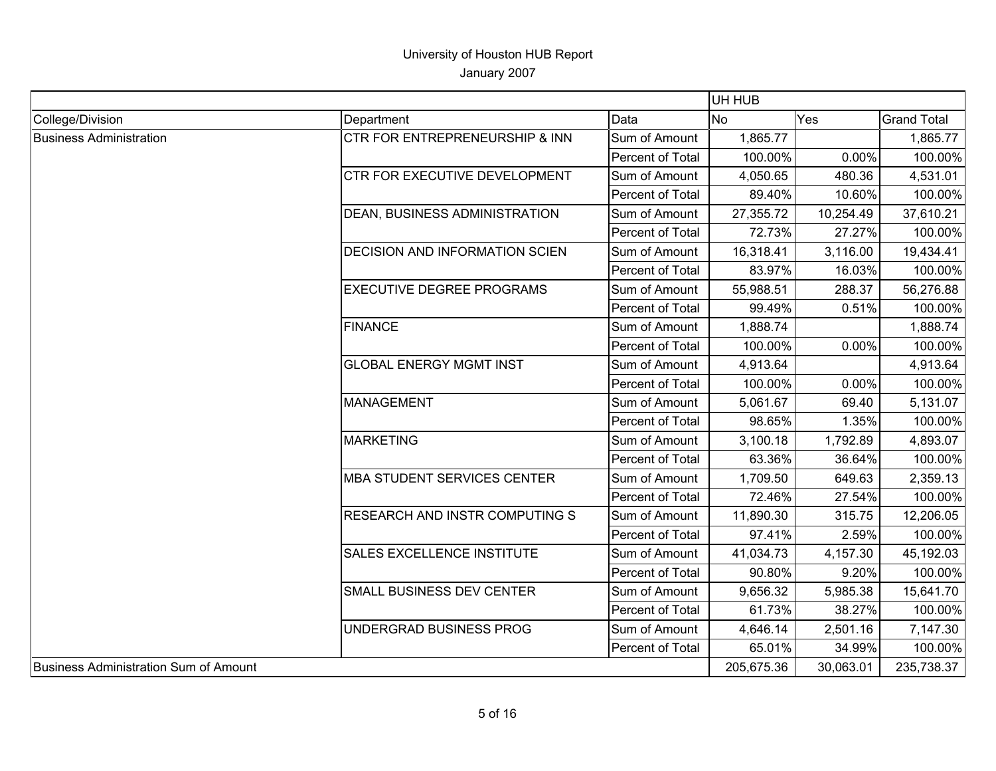| College/Division<br>Data<br><b>No</b><br>Yes<br>Department<br><b>Business Administration</b><br>Sum of Amount<br>1,865.77<br>CTR FOR ENTREPRENEURSHIP & INN<br>100.00%<br>0.00%<br>Percent of Total<br>CTR FOR EXECUTIVE DEVELOPMENT<br>Sum of Amount<br>4,050.65<br>480.36<br>Percent of Total<br>10.60%<br>89.40%<br><b>DEAN, BUSINESS ADMINISTRATION</b><br>27,355.72<br>10,254.49<br>Sum of Amount<br>Percent of Total<br>72.73%<br>27.27%<br><b>DECISION AND INFORMATION SCIEN</b><br>Sum of Amount<br>16,318.41<br>3,116.00<br>Percent of Total<br>83.97%<br>16.03%<br><b>EXECUTIVE DEGREE PROGRAMS</b><br>Sum of Amount<br>55,988.51<br>288.37<br>Percent of Total<br>99.49%<br>0.51%<br><b>FINANCE</b><br>Sum of Amount<br>1,888.74<br>100.00%<br>0.00%<br>Percent of Total<br><b>GLOBAL ENERGY MGMT INST</b><br>Sum of Amount<br>4,913.64<br>0.00%<br>Percent of Total<br>100.00%<br>MANAGEMENT<br>Sum of Amount<br>5,061.67<br>69.40<br>1.35%<br>Percent of Total<br>98.65%<br>MARKETING<br>Sum of Amount<br>3,100.18<br>1,792.89<br>Percent of Total<br>63.36%<br>36.64%<br><b>MBA STUDENT SERVICES CENTER</b><br>Sum of Amount<br>1,709.50<br>649.63 | <b>Grand Total</b><br>1,865.77<br>100.00%<br>4,531.01<br>100.00%<br>37,610.21<br>100.00%<br>19,434.41<br>100.00% |
|------------------------------------------------------------------------------------------------------------------------------------------------------------------------------------------------------------------------------------------------------------------------------------------------------------------------------------------------------------------------------------------------------------------------------------------------------------------------------------------------------------------------------------------------------------------------------------------------------------------------------------------------------------------------------------------------------------------------------------------------------------------------------------------------------------------------------------------------------------------------------------------------------------------------------------------------------------------------------------------------------------------------------------------------------------------------------------------------------------------------------------------------------------------|------------------------------------------------------------------------------------------------------------------|
|                                                                                                                                                                                                                                                                                                                                                                                                                                                                                                                                                                                                                                                                                                                                                                                                                                                                                                                                                                                                                                                                                                                                                                  |                                                                                                                  |
|                                                                                                                                                                                                                                                                                                                                                                                                                                                                                                                                                                                                                                                                                                                                                                                                                                                                                                                                                                                                                                                                                                                                                                  |                                                                                                                  |
|                                                                                                                                                                                                                                                                                                                                                                                                                                                                                                                                                                                                                                                                                                                                                                                                                                                                                                                                                                                                                                                                                                                                                                  |                                                                                                                  |
|                                                                                                                                                                                                                                                                                                                                                                                                                                                                                                                                                                                                                                                                                                                                                                                                                                                                                                                                                                                                                                                                                                                                                                  |                                                                                                                  |
|                                                                                                                                                                                                                                                                                                                                                                                                                                                                                                                                                                                                                                                                                                                                                                                                                                                                                                                                                                                                                                                                                                                                                                  |                                                                                                                  |
|                                                                                                                                                                                                                                                                                                                                                                                                                                                                                                                                                                                                                                                                                                                                                                                                                                                                                                                                                                                                                                                                                                                                                                  |                                                                                                                  |
|                                                                                                                                                                                                                                                                                                                                                                                                                                                                                                                                                                                                                                                                                                                                                                                                                                                                                                                                                                                                                                                                                                                                                                  |                                                                                                                  |
|                                                                                                                                                                                                                                                                                                                                                                                                                                                                                                                                                                                                                                                                                                                                                                                                                                                                                                                                                                                                                                                                                                                                                                  |                                                                                                                  |
|                                                                                                                                                                                                                                                                                                                                                                                                                                                                                                                                                                                                                                                                                                                                                                                                                                                                                                                                                                                                                                                                                                                                                                  |                                                                                                                  |
|                                                                                                                                                                                                                                                                                                                                                                                                                                                                                                                                                                                                                                                                                                                                                                                                                                                                                                                                                                                                                                                                                                                                                                  | 56,276.88                                                                                                        |
|                                                                                                                                                                                                                                                                                                                                                                                                                                                                                                                                                                                                                                                                                                                                                                                                                                                                                                                                                                                                                                                                                                                                                                  | 100.00%                                                                                                          |
|                                                                                                                                                                                                                                                                                                                                                                                                                                                                                                                                                                                                                                                                                                                                                                                                                                                                                                                                                                                                                                                                                                                                                                  | 1,888.74                                                                                                         |
|                                                                                                                                                                                                                                                                                                                                                                                                                                                                                                                                                                                                                                                                                                                                                                                                                                                                                                                                                                                                                                                                                                                                                                  | 100.00%                                                                                                          |
|                                                                                                                                                                                                                                                                                                                                                                                                                                                                                                                                                                                                                                                                                                                                                                                                                                                                                                                                                                                                                                                                                                                                                                  | 4,913.64                                                                                                         |
|                                                                                                                                                                                                                                                                                                                                                                                                                                                                                                                                                                                                                                                                                                                                                                                                                                                                                                                                                                                                                                                                                                                                                                  | 100.00%                                                                                                          |
|                                                                                                                                                                                                                                                                                                                                                                                                                                                                                                                                                                                                                                                                                                                                                                                                                                                                                                                                                                                                                                                                                                                                                                  | 5,131.07                                                                                                         |
|                                                                                                                                                                                                                                                                                                                                                                                                                                                                                                                                                                                                                                                                                                                                                                                                                                                                                                                                                                                                                                                                                                                                                                  | 100.00%                                                                                                          |
|                                                                                                                                                                                                                                                                                                                                                                                                                                                                                                                                                                                                                                                                                                                                                                                                                                                                                                                                                                                                                                                                                                                                                                  | 4,893.07                                                                                                         |
|                                                                                                                                                                                                                                                                                                                                                                                                                                                                                                                                                                                                                                                                                                                                                                                                                                                                                                                                                                                                                                                                                                                                                                  | 100.00%                                                                                                          |
|                                                                                                                                                                                                                                                                                                                                                                                                                                                                                                                                                                                                                                                                                                                                                                                                                                                                                                                                                                                                                                                                                                                                                                  | 2,359.13                                                                                                         |
| Percent of Total<br>27.54%<br>72.46%                                                                                                                                                                                                                                                                                                                                                                                                                                                                                                                                                                                                                                                                                                                                                                                                                                                                                                                                                                                                                                                                                                                             | 100.00%                                                                                                          |
| <b>RESEARCH AND INSTR COMPUTING S</b><br>Sum of Amount<br>11,890.30<br>315.75                                                                                                                                                                                                                                                                                                                                                                                                                                                                                                                                                                                                                                                                                                                                                                                                                                                                                                                                                                                                                                                                                    | 12,206.05                                                                                                        |
| Percent of Total<br>2.59%<br>97.41%                                                                                                                                                                                                                                                                                                                                                                                                                                                                                                                                                                                                                                                                                                                                                                                                                                                                                                                                                                                                                                                                                                                              | 100.00%                                                                                                          |
| <b>SALES EXCELLENCE INSTITUTE</b><br>Sum of Amount<br>41,034.73<br>4,157.30                                                                                                                                                                                                                                                                                                                                                                                                                                                                                                                                                                                                                                                                                                                                                                                                                                                                                                                                                                                                                                                                                      | 45,192.03                                                                                                        |
| 9.20%<br>Percent of Total<br>90.80%                                                                                                                                                                                                                                                                                                                                                                                                                                                                                                                                                                                                                                                                                                                                                                                                                                                                                                                                                                                                                                                                                                                              | 100.00%                                                                                                          |
| Sum of Amount<br>SMALL BUSINESS DEV CENTER<br>9,656.32<br>5,985.38                                                                                                                                                                                                                                                                                                                                                                                                                                                                                                                                                                                                                                                                                                                                                                                                                                                                                                                                                                                                                                                                                               | 15,641.70                                                                                                        |
| Percent of Total<br>61.73%<br>38.27%                                                                                                                                                                                                                                                                                                                                                                                                                                                                                                                                                                                                                                                                                                                                                                                                                                                                                                                                                                                                                                                                                                                             | 100.00%                                                                                                          |
| Sum of Amount<br>UNDERGRAD BUSINESS PROG<br>4,646.14<br>2,501.16                                                                                                                                                                                                                                                                                                                                                                                                                                                                                                                                                                                                                                                                                                                                                                                                                                                                                                                                                                                                                                                                                                 | 7,147.30                                                                                                         |
| 65.01%<br>34.99%<br>Percent of Total                                                                                                                                                                                                                                                                                                                                                                                                                                                                                                                                                                                                                                                                                                                                                                                                                                                                                                                                                                                                                                                                                                                             | 100.00%                                                                                                          |
| Business Administration Sum of Amount<br>205,675.36<br>30,063.01<br>235,738.37                                                                                                                                                                                                                                                                                                                                                                                                                                                                                                                                                                                                                                                                                                                                                                                                                                                                                                                                                                                                                                                                                   |                                                                                                                  |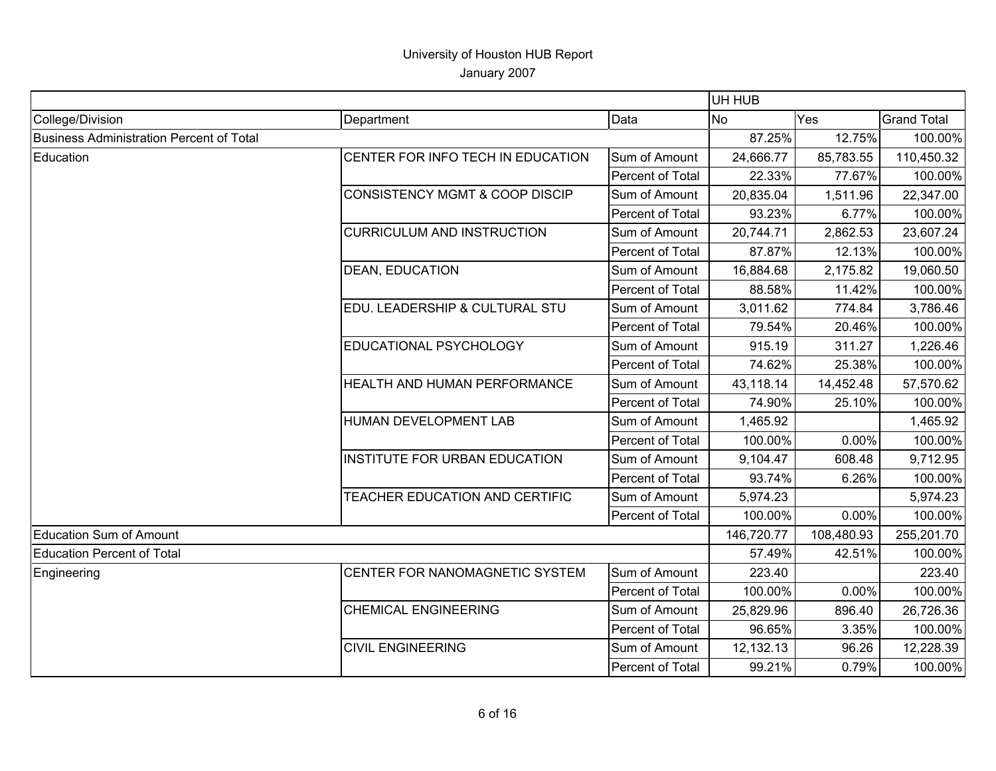|                                          |                                           |                  | UH HUB     |            |                    |
|------------------------------------------|-------------------------------------------|------------------|------------|------------|--------------------|
| College/Division                         | Department                                | Data             | <b>No</b>  | Yes        | <b>Grand Total</b> |
| Business Administration Percent of Total |                                           | 87.25%           | 12.75%     | 100.00%    |                    |
| Education                                | CENTER FOR INFO TECH IN EDUCATION         | Sum of Amount    | 24,666.77  | 85,783.55  | 110,450.32         |
|                                          |                                           | Percent of Total | 22.33%     | 77.67%     | 100.00%            |
|                                          | <b>CONSISTENCY MGMT &amp; COOP DISCIP</b> | Sum of Amount    | 20,835.04  | 1,511.96   | 22,347.00          |
|                                          |                                           | Percent of Total | 93.23%     | 6.77%      | 100.00%            |
|                                          | <b>CURRICULUM AND INSTRUCTION</b>         | Sum of Amount    | 20,744.71  | 2,862.53   | 23,607.24          |
|                                          |                                           | Percent of Total | 87.87%     | 12.13%     | 100.00%            |
|                                          | <b>DEAN, EDUCATION</b>                    | Sum of Amount    | 16,884.68  | 2,175.82   | 19,060.50          |
|                                          |                                           | Percent of Total | 88.58%     | 11.42%     | 100.00%            |
|                                          | EDU. LEADERSHIP & CULTURAL STU            | Sum of Amount    | 3,011.62   | 774.84     | 3,786.46           |
|                                          |                                           | Percent of Total | 79.54%     | 20.46%     | 100.00%            |
|                                          | EDUCATIONAL PSYCHOLOGY                    | Sum of Amount    | 915.19     | 311.27     | 1,226.46           |
|                                          |                                           | Percent of Total | 74.62%     | 25.38%     | 100.00%            |
|                                          | HEALTH AND HUMAN PERFORMANCE              | Sum of Amount    | 43,118.14  | 14,452.48  | 57,570.62          |
|                                          |                                           | Percent of Total | 74.90%     | 25.10%     | 100.00%            |
|                                          | HUMAN DEVELOPMENT LAB                     | Sum of Amount    | 1,465.92   |            | 1,465.92           |
|                                          |                                           | Percent of Total | 100.00%    | 0.00%      | 100.00%            |
|                                          | <b>INSTITUTE FOR URBAN EDUCATION</b>      | Sum of Amount    | 9,104.47   | 608.48     | 9,712.95           |
|                                          |                                           | Percent of Total | 93.74%     | 6.26%      | 100.00%            |
|                                          | TEACHER EDUCATION AND CERTIFIC            | Sum of Amount    | 5,974.23   |            | 5,974.23           |
|                                          |                                           | Percent of Total | 100.00%    | 0.00%      | 100.00%            |
| <b>Education Sum of Amount</b>           |                                           |                  | 146,720.77 | 108,480.93 | 255,201.70         |
| Education Percent of Total               |                                           |                  | 57.49%     | 42.51%     | 100.00%            |
| Engineering                              | CENTER FOR NANOMAGNETIC SYSTEM            | Sum of Amount    | 223.40     |            | 223.40             |
|                                          |                                           | Percent of Total | 100.00%    | 0.00%      | 100.00%            |
|                                          | <b>CHEMICAL ENGINEERING</b>               | Sum of Amount    | 25,829.96  | 896.40     | 26,726.36          |
|                                          |                                           | Percent of Total | 96.65%     | 3.35%      | 100.00%            |
|                                          | <b>CIVIL ENGINEERING</b>                  | Sum of Amount    | 12,132.13  | 96.26      | 12,228.39          |
|                                          |                                           | Percent of Total | 99.21%     | 0.79%      | 100.00%            |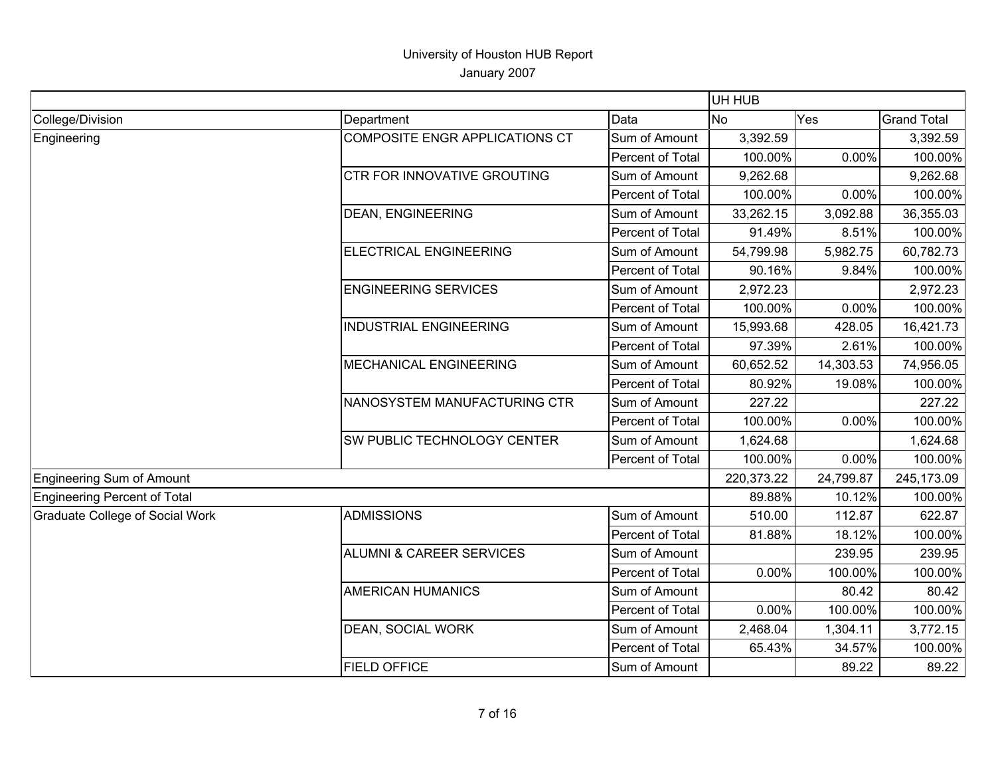|                                        |                                       |                  | UH HUB     |           |                    |
|----------------------------------------|---------------------------------------|------------------|------------|-----------|--------------------|
| College/Division                       | Department                            | Data             | <b>No</b>  | Yes       | <b>Grand Total</b> |
| Engineering                            | <b>COMPOSITE ENGR APPLICATIONS CT</b> | Sum of Amount    | 3,392.59   |           | 3,392.59           |
|                                        |                                       | Percent of Total | 100.00%    | 0.00%     | 100.00%            |
|                                        | CTR FOR INNOVATIVE GROUTING           | Sum of Amount    | 9,262.68   |           | 9,262.68           |
|                                        |                                       | Percent of Total | 100.00%    | 0.00%     | 100.00%            |
|                                        | <b>DEAN, ENGINEERING</b>              | Sum of Amount    | 33,262.15  | 3,092.88  | 36,355.03          |
|                                        |                                       | Percent of Total | 91.49%     | 8.51%     | 100.00%            |
|                                        | ELECTRICAL ENGINEERING                | Sum of Amount    | 54,799.98  | 5,982.75  | 60,782.73          |
|                                        |                                       | Percent of Total | 90.16%     | 9.84%     | 100.00%            |
|                                        | <b>ENGINEERING SERVICES</b>           | Sum of Amount    | 2,972.23   |           | 2,972.23           |
|                                        |                                       | Percent of Total | 100.00%    | 0.00%     | 100.00%            |
|                                        | <b>INDUSTRIAL ENGINEERING</b>         | Sum of Amount    | 15,993.68  | 428.05    | 16,421.73          |
|                                        |                                       | Percent of Total | 97.39%     | 2.61%     | 100.00%            |
|                                        | <b>MECHANICAL ENGINEERING</b>         | Sum of Amount    | 60,652.52  | 14,303.53 | 74,956.05          |
|                                        |                                       | Percent of Total | 80.92%     | 19.08%    | 100.00%            |
|                                        | NANOSYSTEM MANUFACTURING CTR          | Sum of Amount    | 227.22     |           | 227.22             |
|                                        |                                       | Percent of Total | 100.00%    | 0.00%     | 100.00%            |
|                                        | SW PUBLIC TECHNOLOGY CENTER           | Sum of Amount    | 1,624.68   |           | 1,624.68           |
|                                        |                                       | Percent of Total | 100.00%    | 0.00%     | 100.00%            |
| Engineering Sum of Amount              |                                       |                  | 220,373.22 | 24,799.87 | 245,173.09         |
| Engineering Percent of Total           |                                       |                  | 89.88%     | 10.12%    | 100.00%            |
| <b>Graduate College of Social Work</b> | <b>ADMISSIONS</b>                     | Sum of Amount    | 510.00     | 112.87    | 622.87             |
|                                        |                                       | Percent of Total | 81.88%     | 18.12%    | 100.00%            |
|                                        | <b>ALUMNI &amp; CAREER SERVICES</b>   | Sum of Amount    |            | 239.95    | 239.95             |
|                                        |                                       | Percent of Total | 0.00%      | 100.00%   | 100.00%            |
|                                        | <b>AMERICAN HUMANICS</b>              | Sum of Amount    |            | 80.42     | 80.42              |
|                                        |                                       | Percent of Total | 0.00%      | 100.00%   | 100.00%            |
|                                        | <b>DEAN, SOCIAL WORK</b>              | Sum of Amount    | 2,468.04   | 1,304.11  | 3,772.15           |
|                                        |                                       | Percent of Total | 65.43%     | 34.57%    | 100.00%            |
|                                        | <b>FIELD OFFICE</b>                   | Sum of Amount    |            | 89.22     | 89.22              |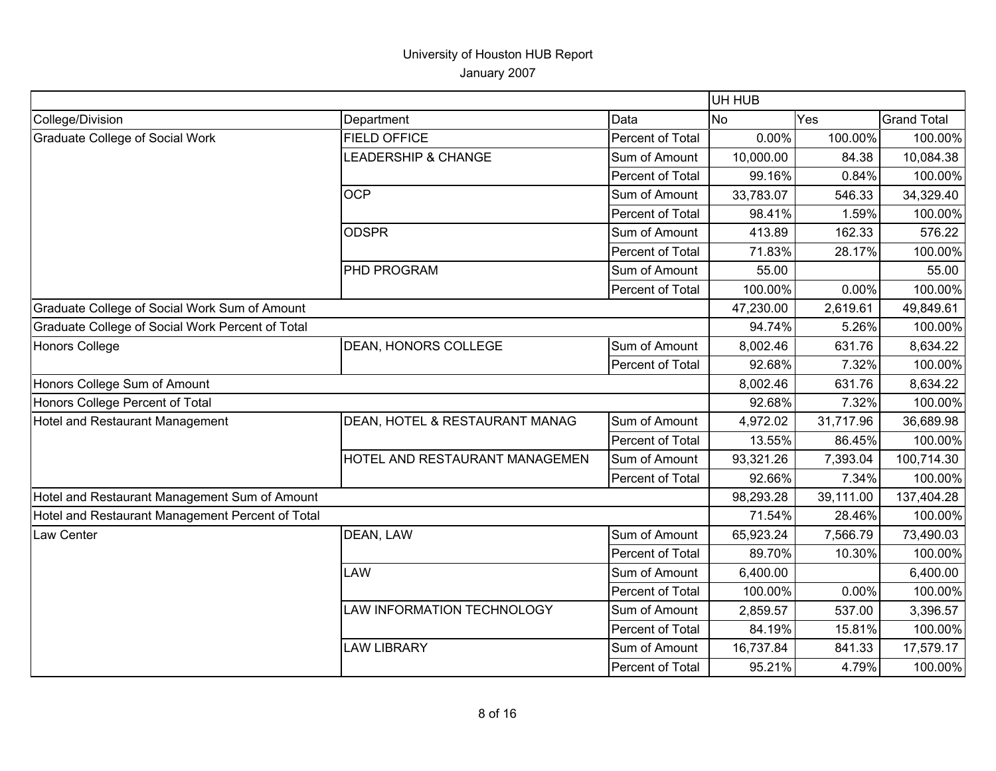|                                                  |                                |                  | UH HUB    |           |                    |
|--------------------------------------------------|--------------------------------|------------------|-----------|-----------|--------------------|
| College/Division                                 | Department                     | Data             | No        | Yes       | <b>Grand Total</b> |
| <b>Graduate College of Social Work</b>           | <b>FIELD OFFICE</b>            | Percent of Total | 0.00%     | 100.00%   | 100.00%            |
|                                                  | <b>LEADERSHIP &amp; CHANGE</b> | Sum of Amount    | 10,000.00 | 84.38     | 10,084.38          |
|                                                  |                                | Percent of Total | 99.16%    | 0.84%     | 100.00%            |
|                                                  | <b>OCP</b>                     | Sum of Amount    | 33,783.07 | 546.33    | 34,329.40          |
|                                                  |                                | Percent of Total | 98.41%    | 1.59%     | 100.00%            |
|                                                  | <b>ODSPR</b>                   | Sum of Amount    | 413.89    | 162.33    | 576.22             |
|                                                  |                                | Percent of Total | 71.83%    | 28.17%    | 100.00%            |
|                                                  | PHD PROGRAM                    | Sum of Amount    | 55.00     |           | 55.00              |
|                                                  |                                | Percent of Total | 100.00%   | 0.00%     | 100.00%            |
| Graduate College of Social Work Sum of Amount    |                                |                  | 47,230.00 | 2,619.61  | 49,849.61          |
| Graduate College of Social Work Percent of Total |                                |                  | 94.74%    | 5.26%     | 100.00%            |
| <b>Honors College</b>                            | <b>DEAN, HONORS COLLEGE</b>    | Sum of Amount    | 8,002.46  | 631.76    | 8,634.22           |
|                                                  |                                | Percent of Total | 92.68%    | 7.32%     | 100.00%            |
| Honors College Sum of Amount                     |                                |                  | 8,002.46  | 631.76    | 8,634.22           |
| Honors College Percent of Total                  |                                |                  | 92.68%    | 7.32%     | 100.00%            |
| Hotel and Restaurant Management                  | DEAN, HOTEL & RESTAURANT MANAG | Sum of Amount    | 4,972.02  | 31,717.96 | 36,689.98          |
|                                                  |                                | Percent of Total | 13.55%    | 86.45%    | 100.00%            |
|                                                  | HOTEL AND RESTAURANT MANAGEMEN | Sum of Amount    | 93,321.26 | 7,393.04  | 100,714.30         |
|                                                  |                                | Percent of Total | 92.66%    | 7.34%     | 100.00%            |
| Hotel and Restaurant Management Sum of Amount    |                                |                  | 98,293.28 | 39,111.00 | 137,404.28         |
| Hotel and Restaurant Management Percent of Total |                                |                  | 71.54%    | 28.46%    | 100.00%            |
| Law Center                                       | DEAN, LAW                      | Sum of Amount    | 65,923.24 | 7,566.79  | 73,490.03          |
|                                                  |                                | Percent of Total | 89.70%    | 10.30%    | 100.00%            |
|                                                  | LAW                            | Sum of Amount    | 6,400.00  |           | 6,400.00           |
|                                                  |                                | Percent of Total | 100.00%   | 0.00%     | 100.00%            |
|                                                  | LAW INFORMATION TECHNOLOGY     | Sum of Amount    | 2,859.57  | 537.00    | 3,396.57           |
|                                                  |                                | Percent of Total | 84.19%    | 15.81%    | 100.00%            |
|                                                  | <b>LAW LIBRARY</b>             | Sum of Amount    | 16,737.84 | 841.33    | 17,579.17          |
|                                                  |                                | Percent of Total | 95.21%    | 4.79%     | 100.00%            |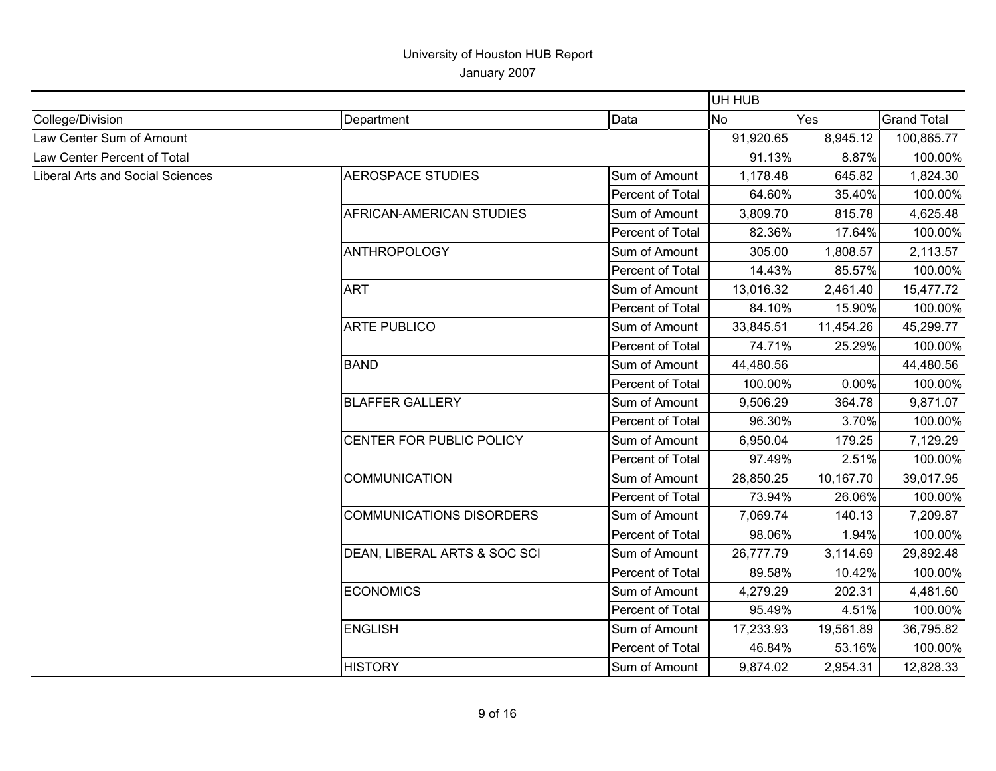|                                  |                                 |                  | UH HUB    |           |                    |
|----------------------------------|---------------------------------|------------------|-----------|-----------|--------------------|
| College/Division                 | Department                      | Data             | <b>No</b> | Yes       | <b>Grand Total</b> |
| Law Center Sum of Amount         |                                 |                  | 91,920.65 | 8,945.12  | 100,865.77         |
| Law Center Percent of Total      |                                 |                  | 91.13%    | 8.87%     | 100.00%            |
| Liberal Arts and Social Sciences | <b>AEROSPACE STUDIES</b>        | Sum of Amount    | 1,178.48  | 645.82    | 1,824.30           |
|                                  |                                 | Percent of Total | 64.60%    | 35.40%    | 100.00%            |
|                                  | AFRICAN-AMERICAN STUDIES        | Sum of Amount    | 3,809.70  | 815.78    | 4,625.48           |
|                                  |                                 | Percent of Total | 82.36%    | 17.64%    | 100.00%            |
|                                  | ANTHROPOLOGY                    | Sum of Amount    | 305.00    | 1,808.57  | 2,113.57           |
|                                  |                                 | Percent of Total | 14.43%    | 85.57%    | 100.00%            |
|                                  | <b>ART</b>                      | Sum of Amount    | 13,016.32 | 2,461.40  | 15,477.72          |
|                                  |                                 | Percent of Total | 84.10%    | 15.90%    | 100.00%            |
|                                  | <b>ARTE PUBLICO</b>             | Sum of Amount    | 33,845.51 | 11,454.26 | 45,299.77          |
|                                  |                                 | Percent of Total | 74.71%    | 25.29%    | 100.00%            |
|                                  | <b>BAND</b>                     | Sum of Amount    | 44,480.56 |           | 44,480.56          |
|                                  |                                 | Percent of Total | 100.00%   | 0.00%     | 100.00%            |
|                                  | <b>BLAFFER GALLERY</b>          | Sum of Amount    | 9,506.29  | 364.78    | 9,871.07           |
|                                  |                                 | Percent of Total | 96.30%    | 3.70%     | 100.00%            |
|                                  | CENTER FOR PUBLIC POLICY        | Sum of Amount    | 6,950.04  | 179.25    | 7,129.29           |
|                                  |                                 | Percent of Total | 97.49%    | 2.51%     | 100.00%            |
|                                  | <b>COMMUNICATION</b>            | Sum of Amount    | 28,850.25 | 10,167.70 | 39,017.95          |
|                                  |                                 | Percent of Total | 73.94%    | 26.06%    | 100.00%            |
|                                  | <b>COMMUNICATIONS DISORDERS</b> | Sum of Amount    | 7,069.74  | 140.13    | 7,209.87           |
|                                  |                                 | Percent of Total | 98.06%    | 1.94%     | 100.00%            |
|                                  | DEAN, LIBERAL ARTS & SOC SCI    | Sum of Amount    | 26,777.79 | 3,114.69  | 29,892.48          |
|                                  |                                 | Percent of Total | 89.58%    | 10.42%    | 100.00%            |
|                                  | <b>ECONOMICS</b>                | Sum of Amount    | 4,279.29  | 202.31    | 4,481.60           |
|                                  |                                 | Percent of Total | 95.49%    | 4.51%     | 100.00%            |
|                                  | <b>ENGLISH</b>                  | Sum of Amount    | 17,233.93 | 19,561.89 | 36,795.82          |
|                                  |                                 | Percent of Total | 46.84%    | 53.16%    | 100.00%            |
|                                  | <b>HISTORY</b>                  | Sum of Amount    | 9,874.02  | 2,954.31  | 12,828.33          |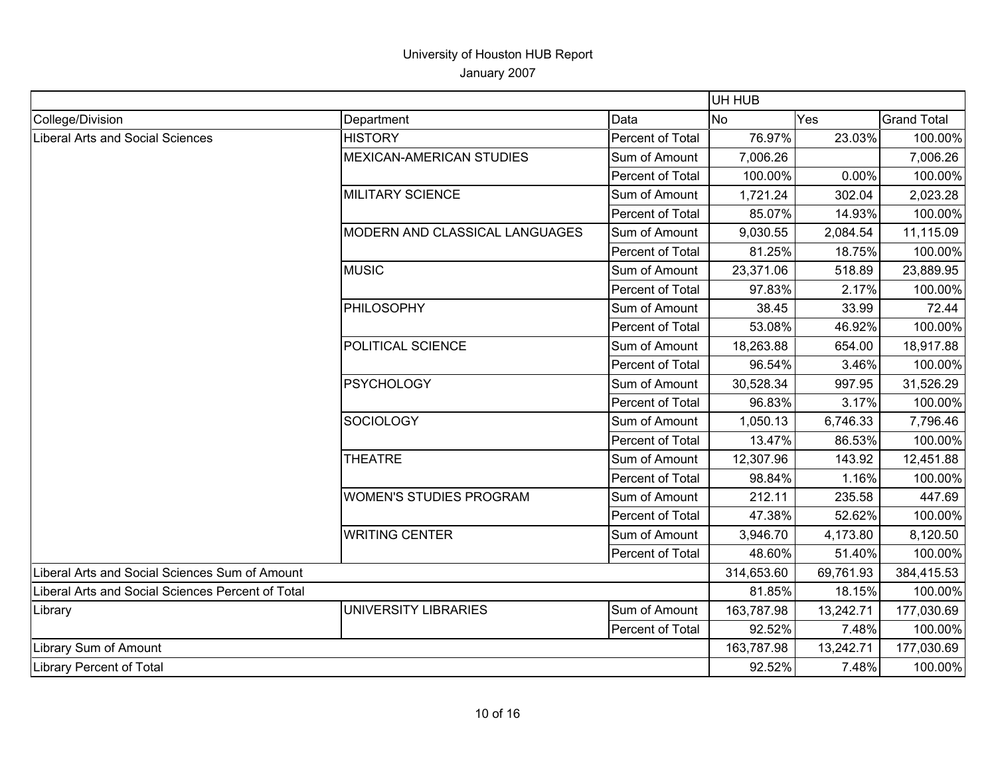|                                                   |                                 |                  | UH HUB     |            |                    |
|---------------------------------------------------|---------------------------------|------------------|------------|------------|--------------------|
| College/Division                                  | Department                      | Data             | <b>No</b>  | Yes        | <b>Grand Total</b> |
| <b>Liberal Arts and Social Sciences</b>           | <b>HISTORY</b>                  | Percent of Total | 76.97%     | 23.03%     | 100.00%            |
|                                                   | <b>MEXICAN-AMERICAN STUDIES</b> | Sum of Amount    | 7,006.26   |            | 7,006.26           |
|                                                   |                                 | Percent of Total | 100.00%    | 0.00%      | 100.00%            |
|                                                   | <b>MILITARY SCIENCE</b>         | Sum of Amount    | 1,721.24   | 302.04     | 2,023.28           |
|                                                   |                                 | Percent of Total | 85.07%     | 14.93%     | 100.00%            |
|                                                   | MODERN AND CLASSICAL LANGUAGES  | Sum of Amount    | 9,030.55   | 2,084.54   | 11,115.09          |
|                                                   |                                 | Percent of Total | 81.25%     | 18.75%     | 100.00%            |
|                                                   | <b>MUSIC</b>                    | Sum of Amount    | 23,371.06  | 518.89     | 23,889.95          |
|                                                   |                                 | Percent of Total | 97.83%     | 2.17%      | 100.00%            |
|                                                   | PHILOSOPHY                      | Sum of Amount    | 38.45      | 33.99      | 72.44              |
|                                                   |                                 | Percent of Total | 53.08%     | 46.92%     | 100.00%            |
|                                                   | POLITICAL SCIENCE               | Sum of Amount    | 18,263.88  | 654.00     | 18,917.88          |
|                                                   |                                 | Percent of Total | 96.54%     | 3.46%      | 100.00%            |
|                                                   | <b>PSYCHOLOGY</b>               | Sum of Amount    | 30,528.34  | 997.95     | 31,526.29          |
|                                                   |                                 | Percent of Total | 96.83%     | 3.17%      | 100.00%            |
|                                                   | <b>SOCIOLOGY</b>                | Sum of Amount    | 1,050.13   | 6,746.33   | 7,796.46           |
|                                                   |                                 | Percent of Total | 13.47%     | 86.53%     | 100.00%            |
|                                                   | <b>THEATRE</b>                  | Sum of Amount    | 12,307.96  | 143.92     | 12,451.88          |
|                                                   |                                 | Percent of Total | 98.84%     | 1.16%      | 100.00%            |
|                                                   | <b>WOMEN'S STUDIES PROGRAM</b>  | Sum of Amount    | 212.11     | 235.58     | 447.69             |
|                                                   |                                 | Percent of Total | 47.38%     | 52.62%     | 100.00%            |
|                                                   | <b>WRITING CENTER</b>           | Sum of Amount    | 3,946.70   | 4,173.80   | 8,120.50           |
|                                                   |                                 | Percent of Total | 48.60%     | 51.40%     | 100.00%            |
| Liberal Arts and Social Sciences Sum of Amount    |                                 | 314,653.60       | 69,761.93  | 384,415.53 |                    |
| Liberal Arts and Social Sciences Percent of Total |                                 | 81.85%           | 18.15%     | 100.00%    |                    |
| Library                                           | UNIVERSITY LIBRARIES            | Sum of Amount    | 163,787.98 | 13,242.71  | 177,030.69         |
|                                                   |                                 | Percent of Total | 92.52%     | 7.48%      | 100.00%            |
| Library Sum of Amount                             |                                 |                  | 163,787.98 | 13,242.71  | 177,030.69         |
| <b>Library Percent of Total</b>                   |                                 | 92.52%           | 7.48%      | 100.00%    |                    |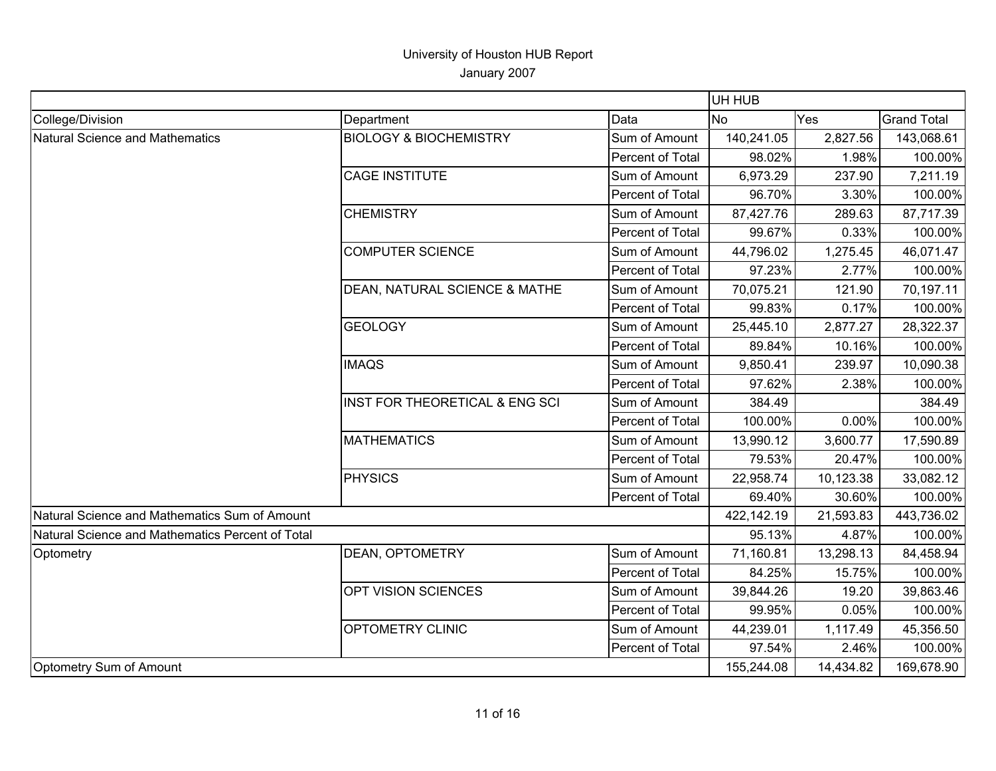| <b>Grand Total</b><br>Department<br>Data<br><b>No</b><br>Yes<br><b>BIOLOGY &amp; BIOCHEMISTRY</b><br>Sum of Amount<br>140,241.05<br>2,827.56<br>Percent of Total<br>98.02%<br>1.98%<br><b>CAGE INSTITUTE</b><br>Sum of Amount<br>6,973.29<br>237.90<br>Percent of Total<br>3.30%<br>96.70%<br><b>CHEMISTRY</b><br>Sum of Amount<br>87,427.76<br>289.63<br>Percent of Total<br>0.33%<br>99.67%<br>Sum of Amount<br><b>COMPUTER SCIENCE</b><br>44,796.02<br>1,275.45<br>Percent of Total<br>97.23%<br>2.77%<br>DEAN, NATURAL SCIENCE & MATHE<br>Sum of Amount<br>70,075.21<br>121.90<br>0.17%<br>Percent of Total<br>99.83%<br><b>GEOLOGY</b><br>25,445.10<br>Sum of Amount<br>2,877.27<br>Percent of Total<br>89.84%<br>10.16%<br><b>IMAQS</b><br>Sum of Amount<br>9,850.41<br>239.97<br>Percent of Total<br>2.38%<br>97.62%<br>INST FOR THEORETICAL & ENG SCI<br>Sum of Amount<br>384.49<br>Percent of Total<br>100.00%<br>0.00%<br><b>MATHEMATICS</b><br>Sum of Amount<br>13,990.12<br>3,600.77<br>Percent of Total<br>79.53%<br>20.47%<br><b>PHYSICS</b><br>Sum of Amount<br>22,958.74<br>10,123.38<br>Percent of Total<br>30.60%<br>69.40%<br>Natural Science and Mathematics Sum of Amount<br>422,142.19<br>21,593.83<br>95.13%<br>Natural Science and Mathematics Percent of Total<br>4.87%<br>DEAN, OPTOMETRY<br>Sum of Amount<br>71,160.81<br>13,298.13<br>Percent of Total<br>84.25%<br>15.75%<br>OPT VISION SCIENCES<br>Sum of Amount<br>19.20<br>39,844.26<br>0.05%<br>Percent of Total<br>99.95%<br>OPTOMETRY CLINIC<br>Sum of Amount<br>44,239.01<br>1,117.49<br>97.54%<br>2.46%<br>Percent of Total<br>155,244.08<br>14,434.82 |                                 |  | UH HUB |            |
|---------------------------------------------------------------------------------------------------------------------------------------------------------------------------------------------------------------------------------------------------------------------------------------------------------------------------------------------------------------------------------------------------------------------------------------------------------------------------------------------------------------------------------------------------------------------------------------------------------------------------------------------------------------------------------------------------------------------------------------------------------------------------------------------------------------------------------------------------------------------------------------------------------------------------------------------------------------------------------------------------------------------------------------------------------------------------------------------------------------------------------------------------------------------------------------------------------------------------------------------------------------------------------------------------------------------------------------------------------------------------------------------------------------------------------------------------------------------------------------------------------------------------------------------------------------------------------------------------------------------------------------------|---------------------------------|--|--------|------------|
|                                                                                                                                                                                                                                                                                                                                                                                                                                                                                                                                                                                                                                                                                                                                                                                                                                                                                                                                                                                                                                                                                                                                                                                                                                                                                                                                                                                                                                                                                                                                                                                                                                             | College/Division                |  |        |            |
|                                                                                                                                                                                                                                                                                                                                                                                                                                                                                                                                                                                                                                                                                                                                                                                                                                                                                                                                                                                                                                                                                                                                                                                                                                                                                                                                                                                                                                                                                                                                                                                                                                             | Natural Science and Mathematics |  |        | 143,068.61 |
|                                                                                                                                                                                                                                                                                                                                                                                                                                                                                                                                                                                                                                                                                                                                                                                                                                                                                                                                                                                                                                                                                                                                                                                                                                                                                                                                                                                                                                                                                                                                                                                                                                             |                                 |  |        | 100.00%    |
|                                                                                                                                                                                                                                                                                                                                                                                                                                                                                                                                                                                                                                                                                                                                                                                                                                                                                                                                                                                                                                                                                                                                                                                                                                                                                                                                                                                                                                                                                                                                                                                                                                             |                                 |  |        | 7,211.19   |
|                                                                                                                                                                                                                                                                                                                                                                                                                                                                                                                                                                                                                                                                                                                                                                                                                                                                                                                                                                                                                                                                                                                                                                                                                                                                                                                                                                                                                                                                                                                                                                                                                                             |                                 |  |        | 100.00%    |
|                                                                                                                                                                                                                                                                                                                                                                                                                                                                                                                                                                                                                                                                                                                                                                                                                                                                                                                                                                                                                                                                                                                                                                                                                                                                                                                                                                                                                                                                                                                                                                                                                                             |                                 |  |        | 87,717.39  |
|                                                                                                                                                                                                                                                                                                                                                                                                                                                                                                                                                                                                                                                                                                                                                                                                                                                                                                                                                                                                                                                                                                                                                                                                                                                                                                                                                                                                                                                                                                                                                                                                                                             |                                 |  |        | 100.00%    |
|                                                                                                                                                                                                                                                                                                                                                                                                                                                                                                                                                                                                                                                                                                                                                                                                                                                                                                                                                                                                                                                                                                                                                                                                                                                                                                                                                                                                                                                                                                                                                                                                                                             |                                 |  |        | 46,071.47  |
|                                                                                                                                                                                                                                                                                                                                                                                                                                                                                                                                                                                                                                                                                                                                                                                                                                                                                                                                                                                                                                                                                                                                                                                                                                                                                                                                                                                                                                                                                                                                                                                                                                             |                                 |  |        | 100.00%    |
|                                                                                                                                                                                                                                                                                                                                                                                                                                                                                                                                                                                                                                                                                                                                                                                                                                                                                                                                                                                                                                                                                                                                                                                                                                                                                                                                                                                                                                                                                                                                                                                                                                             |                                 |  |        | 70,197.11  |
|                                                                                                                                                                                                                                                                                                                                                                                                                                                                                                                                                                                                                                                                                                                                                                                                                                                                                                                                                                                                                                                                                                                                                                                                                                                                                                                                                                                                                                                                                                                                                                                                                                             |                                 |  |        | 100.00%    |
|                                                                                                                                                                                                                                                                                                                                                                                                                                                                                                                                                                                                                                                                                                                                                                                                                                                                                                                                                                                                                                                                                                                                                                                                                                                                                                                                                                                                                                                                                                                                                                                                                                             |                                 |  |        | 28,322.37  |
|                                                                                                                                                                                                                                                                                                                                                                                                                                                                                                                                                                                                                                                                                                                                                                                                                                                                                                                                                                                                                                                                                                                                                                                                                                                                                                                                                                                                                                                                                                                                                                                                                                             |                                 |  |        | 100.00%    |
|                                                                                                                                                                                                                                                                                                                                                                                                                                                                                                                                                                                                                                                                                                                                                                                                                                                                                                                                                                                                                                                                                                                                                                                                                                                                                                                                                                                                                                                                                                                                                                                                                                             |                                 |  |        | 10,090.38  |
|                                                                                                                                                                                                                                                                                                                                                                                                                                                                                                                                                                                                                                                                                                                                                                                                                                                                                                                                                                                                                                                                                                                                                                                                                                                                                                                                                                                                                                                                                                                                                                                                                                             |                                 |  |        | 100.00%    |
|                                                                                                                                                                                                                                                                                                                                                                                                                                                                                                                                                                                                                                                                                                                                                                                                                                                                                                                                                                                                                                                                                                                                                                                                                                                                                                                                                                                                                                                                                                                                                                                                                                             |                                 |  |        | 384.49     |
|                                                                                                                                                                                                                                                                                                                                                                                                                                                                                                                                                                                                                                                                                                                                                                                                                                                                                                                                                                                                                                                                                                                                                                                                                                                                                                                                                                                                                                                                                                                                                                                                                                             |                                 |  |        | 100.00%    |
|                                                                                                                                                                                                                                                                                                                                                                                                                                                                                                                                                                                                                                                                                                                                                                                                                                                                                                                                                                                                                                                                                                                                                                                                                                                                                                                                                                                                                                                                                                                                                                                                                                             |                                 |  |        | 17,590.89  |
|                                                                                                                                                                                                                                                                                                                                                                                                                                                                                                                                                                                                                                                                                                                                                                                                                                                                                                                                                                                                                                                                                                                                                                                                                                                                                                                                                                                                                                                                                                                                                                                                                                             |                                 |  |        | 100.00%    |
|                                                                                                                                                                                                                                                                                                                                                                                                                                                                                                                                                                                                                                                                                                                                                                                                                                                                                                                                                                                                                                                                                                                                                                                                                                                                                                                                                                                                                                                                                                                                                                                                                                             |                                 |  |        | 33,082.12  |
|                                                                                                                                                                                                                                                                                                                                                                                                                                                                                                                                                                                                                                                                                                                                                                                                                                                                                                                                                                                                                                                                                                                                                                                                                                                                                                                                                                                                                                                                                                                                                                                                                                             |                                 |  |        | 100.00%    |
|                                                                                                                                                                                                                                                                                                                                                                                                                                                                                                                                                                                                                                                                                                                                                                                                                                                                                                                                                                                                                                                                                                                                                                                                                                                                                                                                                                                                                                                                                                                                                                                                                                             |                                 |  |        | 443,736.02 |
|                                                                                                                                                                                                                                                                                                                                                                                                                                                                                                                                                                                                                                                                                                                                                                                                                                                                                                                                                                                                                                                                                                                                                                                                                                                                                                                                                                                                                                                                                                                                                                                                                                             |                                 |  |        | 100.00%    |
|                                                                                                                                                                                                                                                                                                                                                                                                                                                                                                                                                                                                                                                                                                                                                                                                                                                                                                                                                                                                                                                                                                                                                                                                                                                                                                                                                                                                                                                                                                                                                                                                                                             | Optometry                       |  |        | 84,458.94  |
|                                                                                                                                                                                                                                                                                                                                                                                                                                                                                                                                                                                                                                                                                                                                                                                                                                                                                                                                                                                                                                                                                                                                                                                                                                                                                                                                                                                                                                                                                                                                                                                                                                             |                                 |  |        | 100.00%    |
|                                                                                                                                                                                                                                                                                                                                                                                                                                                                                                                                                                                                                                                                                                                                                                                                                                                                                                                                                                                                                                                                                                                                                                                                                                                                                                                                                                                                                                                                                                                                                                                                                                             |                                 |  |        | 39,863.46  |
|                                                                                                                                                                                                                                                                                                                                                                                                                                                                                                                                                                                                                                                                                                                                                                                                                                                                                                                                                                                                                                                                                                                                                                                                                                                                                                                                                                                                                                                                                                                                                                                                                                             |                                 |  |        | 100.00%    |
|                                                                                                                                                                                                                                                                                                                                                                                                                                                                                                                                                                                                                                                                                                                                                                                                                                                                                                                                                                                                                                                                                                                                                                                                                                                                                                                                                                                                                                                                                                                                                                                                                                             |                                 |  |        | 45,356.50  |
|                                                                                                                                                                                                                                                                                                                                                                                                                                                                                                                                                                                                                                                                                                                                                                                                                                                                                                                                                                                                                                                                                                                                                                                                                                                                                                                                                                                                                                                                                                                                                                                                                                             |                                 |  |        | 100.00%    |
|                                                                                                                                                                                                                                                                                                                                                                                                                                                                                                                                                                                                                                                                                                                                                                                                                                                                                                                                                                                                                                                                                                                                                                                                                                                                                                                                                                                                                                                                                                                                                                                                                                             | Optometry Sum of Amount         |  |        | 169,678.90 |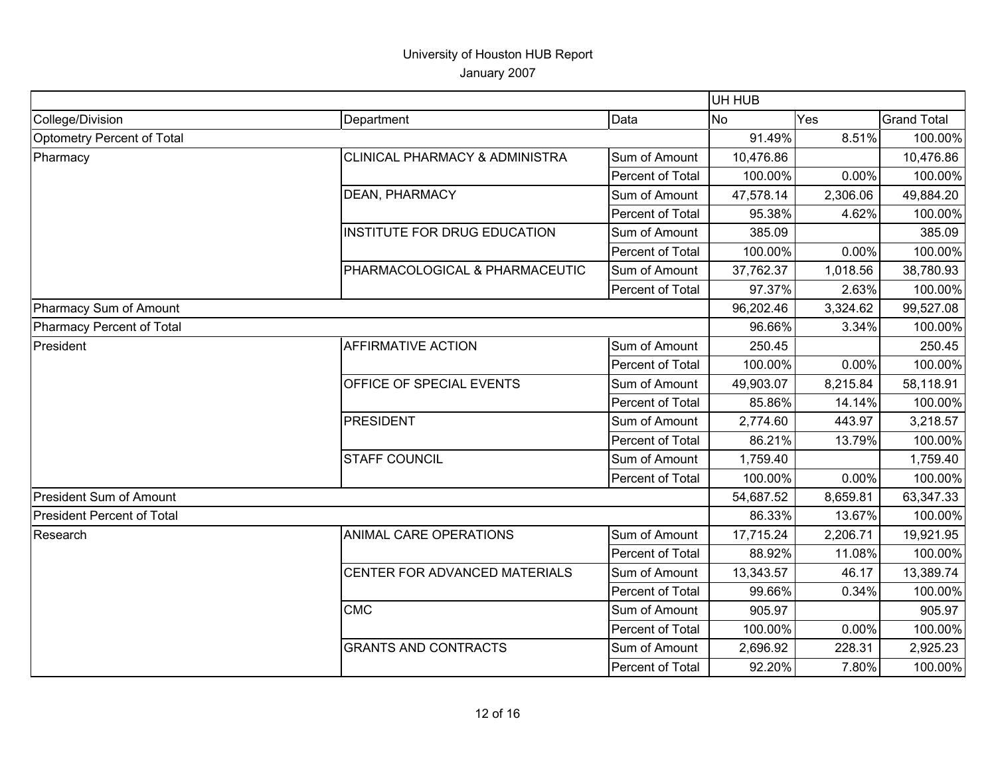|                                   |                                           |                  | UH HUB    |          |                    |
|-----------------------------------|-------------------------------------------|------------------|-----------|----------|--------------------|
| College/Division                  | Department                                | Data             | <b>No</b> | Yes      | <b>Grand Total</b> |
| Optometry Percent of Total        |                                           |                  | 91.49%    | 8.51%    | 100.00%            |
| Pharmacy                          | <b>CLINICAL PHARMACY &amp; ADMINISTRA</b> | Sum of Amount    | 10,476.86 |          | 10,476.86          |
|                                   |                                           | Percent of Total | 100.00%   | 0.00%    | 100.00%            |
|                                   | <b>DEAN, PHARMACY</b>                     | Sum of Amount    | 47,578.14 | 2,306.06 | 49,884.20          |
|                                   |                                           | Percent of Total | 95.38%    | 4.62%    | 100.00%            |
|                                   | INSTITUTE FOR DRUG EDUCATION              | Sum of Amount    | 385.09    |          | 385.09             |
|                                   |                                           | Percent of Total | 100.00%   | 0.00%    | 100.00%            |
|                                   | PHARMACOLOGICAL & PHARMACEUTIC            | Sum of Amount    | 37,762.37 | 1,018.56 | 38,780.93          |
|                                   |                                           | Percent of Total | 97.37%    | 2.63%    | 100.00%            |
| Pharmacy Sum of Amount            |                                           |                  | 96,202.46 | 3,324.62 | 99,527.08          |
| Pharmacy Percent of Total         |                                           |                  | 96.66%    | 3.34%    | 100.00%            |
| President                         | <b>AFFIRMATIVE ACTION</b>                 | Sum of Amount    | 250.45    |          | 250.45             |
|                                   |                                           | Percent of Total | 100.00%   | 0.00%    | 100.00%            |
|                                   | OFFICE OF SPECIAL EVENTS                  | Sum of Amount    | 49,903.07 | 8,215.84 | 58,118.91          |
|                                   |                                           | Percent of Total | 85.86%    | 14.14%   | 100.00%            |
|                                   | <b>PRESIDENT</b>                          | Sum of Amount    | 2,774.60  | 443.97   | 3,218.57           |
|                                   |                                           | Percent of Total | 86.21%    | 13.79%   | 100.00%            |
|                                   | <b>STAFF COUNCIL</b>                      | Sum of Amount    | 1,759.40  |          | 1,759.40           |
|                                   |                                           | Percent of Total | 100.00%   | 0.00%    | 100.00%            |
| <b>President Sum of Amount</b>    |                                           |                  | 54,687.52 | 8,659.81 | 63,347.33          |
| <b>President Percent of Total</b> |                                           |                  | 86.33%    | 13.67%   | 100.00%            |
| Research                          | <b>ANIMAL CARE OPERATIONS</b>             | Sum of Amount    | 17,715.24 | 2,206.71 | 19,921.95          |
|                                   |                                           | Percent of Total | 88.92%    | 11.08%   | 100.00%            |
|                                   | CENTER FOR ADVANCED MATERIALS             | Sum of Amount    | 13,343.57 | 46.17    | 13,389.74          |
|                                   |                                           | Percent of Total | 99.66%    | 0.34%    | 100.00%            |
|                                   | <b>CMC</b>                                | Sum of Amount    | 905.97    |          | 905.97             |
|                                   |                                           | Percent of Total | 100.00%   | 0.00%    | 100.00%            |
|                                   | <b>GRANTS AND CONTRACTS</b>               | Sum of Amount    | 2,696.92  | 228.31   | 2,925.23           |
|                                   |                                           | Percent of Total | 92.20%    | 7.80%    | 100.00%            |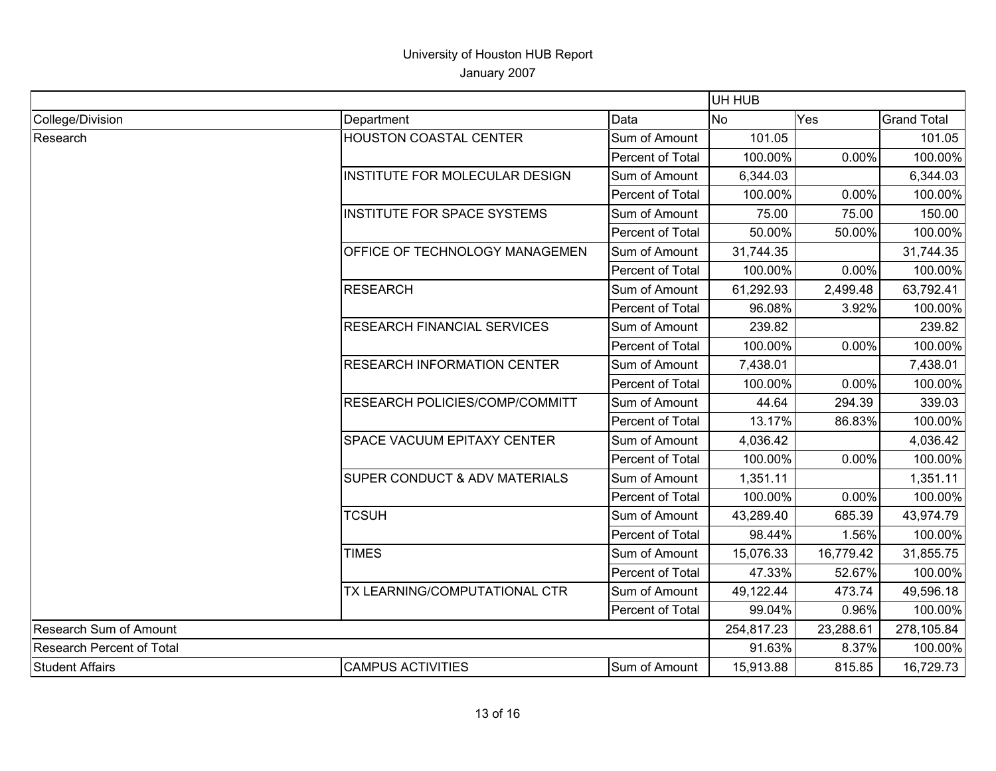|                           |                                    |                  |            | UH HUB    |                    |  |
|---------------------------|------------------------------------|------------------|------------|-----------|--------------------|--|
| College/Division          | Department                         | Data             | No.        | Yes       | <b>Grand Total</b> |  |
| Research                  | <b>HOUSTON COASTAL CENTER</b>      | Sum of Amount    | 101.05     |           | 101.05             |  |
|                           |                                    | Percent of Total | 100.00%    | 0.00%     | 100.00%            |  |
|                           | INSTITUTE FOR MOLECULAR DESIGN     | Sum of Amount    | 6,344.03   |           | 6,344.03           |  |
|                           |                                    | Percent of Total | 100.00%    | 0.00%     | 100.00%            |  |
|                           | <b>INSTITUTE FOR SPACE SYSTEMS</b> | Sum of Amount    | 75.00      | 75.00     | 150.00             |  |
|                           |                                    | Percent of Total | 50.00%     | 50.00%    | 100.00%            |  |
|                           | OFFICE OF TECHNOLOGY MANAGEMEN     | Sum of Amount    | 31,744.35  |           | 31,744.35          |  |
|                           |                                    | Percent of Total | 100.00%    | 0.00%     | 100.00%            |  |
|                           | <b>RESEARCH</b>                    | Sum of Amount    | 61,292.93  | 2,499.48  | 63,792.41          |  |
|                           |                                    | Percent of Total | 96.08%     | 3.92%     | 100.00%            |  |
|                           | <b>RESEARCH FINANCIAL SERVICES</b> | Sum of Amount    | 239.82     |           | 239.82             |  |
|                           |                                    | Percent of Total | 100.00%    | 0.00%     | 100.00%            |  |
|                           | <b>RESEARCH INFORMATION CENTER</b> | Sum of Amount    | 7,438.01   |           | 7,438.01           |  |
|                           |                                    | Percent of Total | 100.00%    | 0.00%     | 100.00%            |  |
|                           | RESEARCH POLICIES/COMP/COMMITT     | Sum of Amount    | 44.64      | 294.39    | 339.03             |  |
|                           |                                    | Percent of Total | 13.17%     | 86.83%    | 100.00%            |  |
|                           | <b>SPACE VACUUM EPITAXY CENTER</b> | Sum of Amount    | 4,036.42   |           | 4,036.42           |  |
|                           |                                    | Percent of Total | 100.00%    | 0.00%     | 100.00%            |  |
|                           | SUPER CONDUCT & ADV MATERIALS      | Sum of Amount    | 1,351.11   |           | 1,351.11           |  |
|                           |                                    | Percent of Total | 100.00%    | 0.00%     | 100.00%            |  |
|                           | <b>TCSUH</b>                       | Sum of Amount    | 43,289.40  | 685.39    | 43,974.79          |  |
|                           |                                    | Percent of Total | 98.44%     | 1.56%     | 100.00%            |  |
|                           | <b>TIMES</b>                       | Sum of Amount    | 15,076.33  | 16,779.42 | 31,855.75          |  |
|                           |                                    | Percent of Total | 47.33%     | 52.67%    | 100.00%            |  |
|                           | TX LEARNING/COMPUTATIONAL CTR      | Sum of Amount    | 49,122.44  | 473.74    | 49,596.18          |  |
|                           |                                    | Percent of Total | 99.04%     | 0.96%     | 100.00%            |  |
| Research Sum of Amount    |                                    |                  | 254,817.23 | 23,288.61 | 278,105.84         |  |
| Research Percent of Total |                                    |                  | 91.63%     | 8.37%     | 100.00%            |  |
| <b>Student Affairs</b>    | <b>CAMPUS ACTIVITIES</b>           | Sum of Amount    | 15,913.88  | 815.85    | 16,729.73          |  |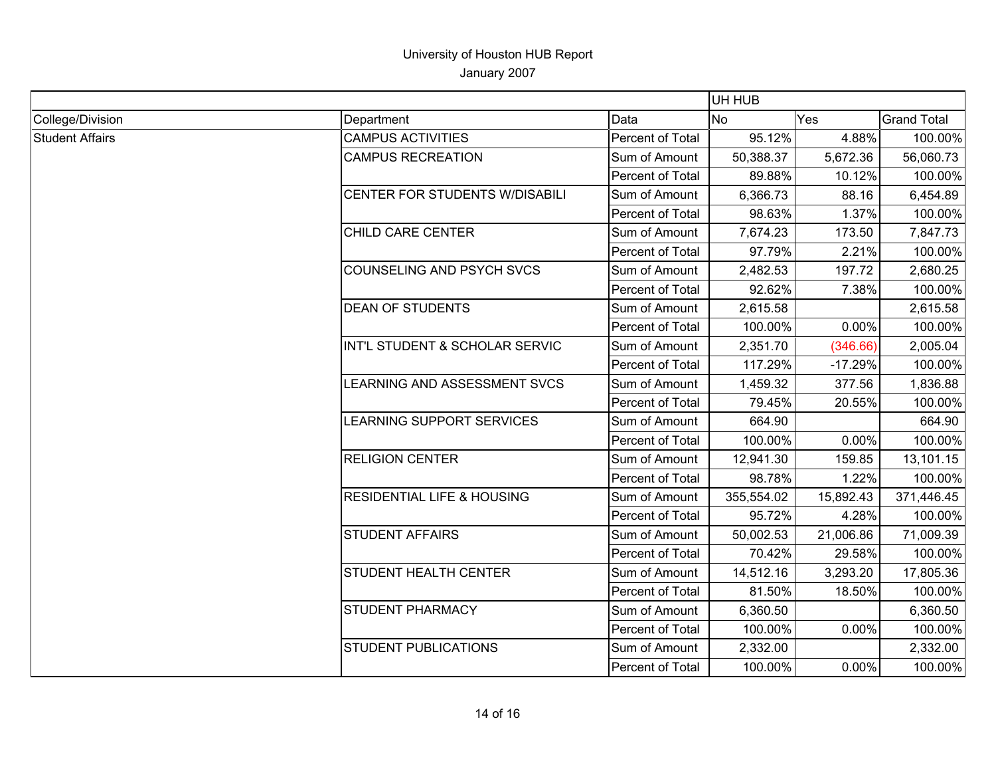|                        |                                       |                  | UH HUB     |           |                    |
|------------------------|---------------------------------------|------------------|------------|-----------|--------------------|
| College/Division       | Department                            | Data             | No         | Yes       | <b>Grand Total</b> |
| <b>Student Affairs</b> | <b>CAMPUS ACTIVITIES</b>              | Percent of Total | 95.12%     | 4.88%     | 100.00%            |
|                        | <b>CAMPUS RECREATION</b>              | Sum of Amount    | 50,388.37  | 5,672.36  | 56,060.73          |
|                        |                                       | Percent of Total | 89.88%     | 10.12%    | 100.00%            |
|                        | CENTER FOR STUDENTS W/DISABILI        | Sum of Amount    | 6,366.73   | 88.16     | 6,454.89           |
|                        |                                       | Percent of Total | 98.63%     | 1.37%     | 100.00%            |
|                        | CHILD CARE CENTER                     | Sum of Amount    | 7,674.23   | 173.50    | 7,847.73           |
|                        |                                       | Percent of Total | 97.79%     | 2.21%     | 100.00%            |
|                        | COUNSELING AND PSYCH SVCS             | Sum of Amount    | 2,482.53   | 197.72    | 2,680.25           |
|                        |                                       | Percent of Total | 92.62%     | 7.38%     | 100.00%            |
|                        | <b>DEAN OF STUDENTS</b>               | Sum of Amount    | 2,615.58   |           | 2,615.58           |
|                        |                                       | Percent of Total | 100.00%    | 0.00%     | 100.00%            |
|                        | INT'L STUDENT & SCHOLAR SERVIC        | Sum of Amount    | 2,351.70   | (346.66)  | 2,005.04           |
|                        |                                       | Percent of Total | 117.29%    | $-17.29%$ | 100.00%            |
|                        | LEARNING AND ASSESSMENT SVCS          | Sum of Amount    | 1,459.32   | 377.56    | 1,836.88           |
|                        |                                       | Percent of Total | 79.45%     | 20.55%    | 100.00%            |
|                        | LEARNING SUPPORT SERVICES             | Sum of Amount    | 664.90     |           | 664.90             |
|                        |                                       | Percent of Total | 100.00%    | 0.00%     | 100.00%            |
|                        | <b>RELIGION CENTER</b>                | Sum of Amount    | 12,941.30  | 159.85    | 13,101.15          |
|                        |                                       | Percent of Total | 98.78%     | 1.22%     | 100.00%            |
|                        | <b>RESIDENTIAL LIFE &amp; HOUSING</b> | Sum of Amount    | 355,554.02 | 15,892.43 | 371,446.45         |
|                        |                                       | Percent of Total | 95.72%     | 4.28%     | 100.00%            |
|                        | <b>STUDENT AFFAIRS</b>                | Sum of Amount    | 50,002.53  | 21,006.86 | 71,009.39          |
|                        |                                       | Percent of Total | 70.42%     | 29.58%    | 100.00%            |
|                        | STUDENT HEALTH CENTER                 | Sum of Amount    | 14,512.16  | 3,293.20  | 17,805.36          |
|                        |                                       | Percent of Total | 81.50%     | 18.50%    | 100.00%            |
|                        | STUDENT PHARMACY                      | Sum of Amount    | 6,360.50   |           | 6,360.50           |
|                        |                                       | Percent of Total | 100.00%    | 0.00%     | 100.00%            |
|                        | STUDENT PUBLICATIONS                  | Sum of Amount    | 2,332.00   |           | 2,332.00           |
|                        |                                       | Percent of Total | 100.00%    | 0.00%     | 100.00%            |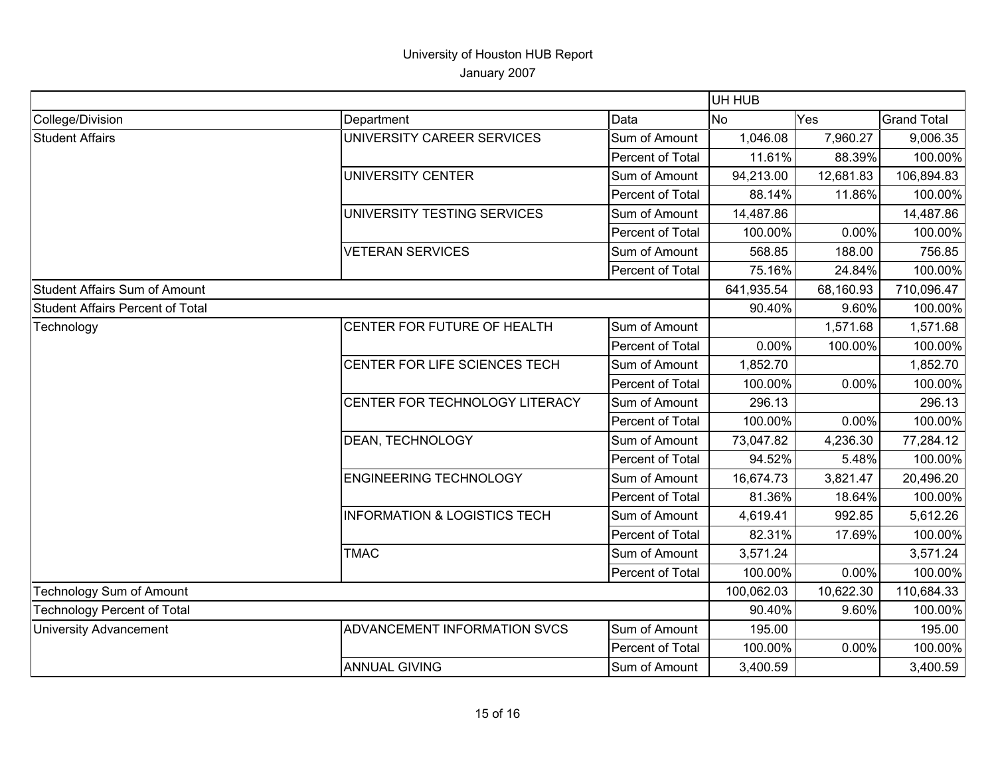|                                      |                                         |                  | UH HUB     |            |                    |
|--------------------------------------|-----------------------------------------|------------------|------------|------------|--------------------|
| College/Division                     | Department                              | Data             | <b>No</b>  | <b>Yes</b> | <b>Grand Total</b> |
| <b>Student Affairs</b>               | UNIVERSITY CAREER SERVICES              | Sum of Amount    | 1,046.08   | 7,960.27   | 9,006.35           |
|                                      |                                         | Percent of Total | 11.61%     | 88.39%     | 100.00%            |
|                                      | <b>UNIVERSITY CENTER</b>                | Sum of Amount    | 94,213.00  | 12,681.83  | 106,894.83         |
|                                      |                                         | Percent of Total | 88.14%     | 11.86%     | 100.00%            |
|                                      | UNIVERSITY TESTING SERVICES             | Sum of Amount    | 14,487.86  |            | 14,487.86          |
|                                      |                                         | Percent of Total | 100.00%    | 0.00%      | 100.00%            |
|                                      | <b>VETERAN SERVICES</b>                 | Sum of Amount    | 568.85     | 188.00     | 756.85             |
|                                      |                                         | Percent of Total | 75.16%     | 24.84%     | 100.00%            |
| <b>Student Affairs Sum of Amount</b> |                                         |                  | 641,935.54 | 68,160.93  | 710,096.47         |
| Student Affairs Percent of Total     |                                         |                  | 90.40%     | 9.60%      | 100.00%            |
| Technology                           | CENTER FOR FUTURE OF HEALTH             | Sum of Amount    |            | 1,571.68   | 1,571.68           |
|                                      |                                         | Percent of Total | 0.00%      | 100.00%    | 100.00%            |
|                                      | CENTER FOR LIFE SCIENCES TECH           | Sum of Amount    | 1,852.70   |            | 1,852.70           |
|                                      |                                         | Percent of Total | 100.00%    | 0.00%      | 100.00%            |
|                                      | CENTER FOR TECHNOLOGY LITERACY          | Sum of Amount    | 296.13     |            | 296.13             |
|                                      |                                         | Percent of Total | 100.00%    | 0.00%      | 100.00%            |
|                                      | DEAN, TECHNOLOGY                        | Sum of Amount    | 73,047.82  | 4,236.30   | 77,284.12          |
|                                      |                                         | Percent of Total | 94.52%     | 5.48%      | 100.00%            |
|                                      | <b>ENGINEERING TECHNOLOGY</b>           | Sum of Amount    | 16,674.73  | 3,821.47   | 20,496.20          |
|                                      |                                         | Percent of Total | 81.36%     | 18.64%     | 100.00%            |
|                                      | <b>INFORMATION &amp; LOGISTICS TECH</b> | Sum of Amount    | 4,619.41   | 992.85     | 5,612.26           |
|                                      |                                         | Percent of Total | 82.31%     | 17.69%     | 100.00%            |
|                                      | <b>TMAC</b>                             | Sum of Amount    | 3,571.24   |            | 3,571.24           |
|                                      |                                         | Percent of Total | 100.00%    | 0.00%      | 100.00%            |
| Technology Sum of Amount             |                                         | 100,062.03       | 10,622.30  | 110,684.33 |                    |
| <b>Technology Percent of Total</b>   |                                         |                  | 90.40%     | 9.60%      | 100.00%            |
| <b>University Advancement</b>        | ADVANCEMENT INFORMATION SVCS            | Sum of Amount    | 195.00     |            | 195.00             |
|                                      |                                         | Percent of Total | 100.00%    | 0.00%      | 100.00%            |
|                                      | <b>ANNUAL GIVING</b>                    | Sum of Amount    | 3,400.59   |            | 3,400.59           |